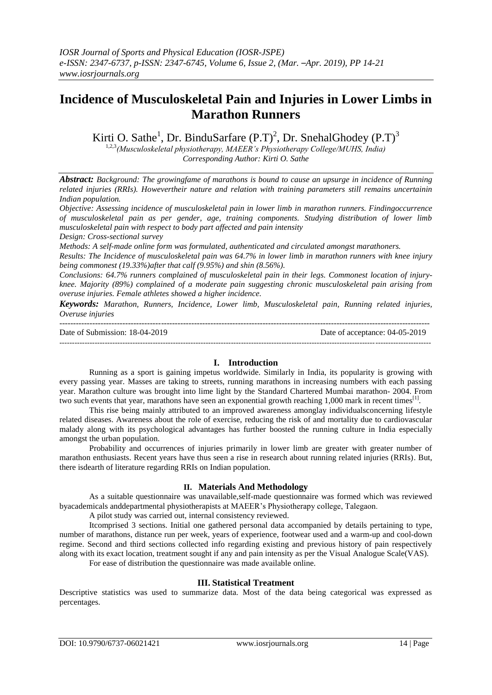# **Incidence of Musculoskeletal Pain and Injuries in Lower Limbs in Marathon Runners**

Kirti O. Sathe<sup>1</sup>, Dr. BinduSarfare  $(P.T)^2$ , Dr. SnehalGhodey  $(P.T)^3$ 

1,2,3*(Musculoskeletal physiotherapy, MAEER's Physiotherapy College/MUHS, India) Corresponding Author: Kirti O. Sathe*

*Abstract: Background: The growingfame of marathons is bound to cause an upsurge in incidence of Running related injuries (RRIs). Howevertheir nature and relation with training parameters still remains uncertainin Indian population.*

*Objective: Assessing incidence of musculoskeletal pain in lower limb in marathon runners. Findingoccurrence of musculoskeletal pain as per gender, age, training components. Studying distribution of lower limb musculoskeletal pain with respect to body part affected and pain intensity*

*Design: Cross-sectional survey*

*Methods: A self-made online form was formulated, authenticated and circulated amongst marathoners.*

*Results: The Incidence of musculoskeletal pain was 64.7% in lower limb in marathon runners with knee injury being commonest (19.33%)after that calf (9.95%) and shin (8.56%).*

*Conclusions: 64.7% runners complained of musculoskeletal pain in their legs. Commonest location of injuryknee. Majority (89%) complained of a moderate pain suggesting chronic musculoskeletal pain arising from overuse injuries. Female athletes showed a higher incidence.*

*Keywords: Marathon, Runners, Incidence, Lower limb, Musculoskeletal pain, Running related injuries, Overuse injuries*

| Date of Submission: 18-04-2019 | Date of acceptance: 04-05-2019 |
|--------------------------------|--------------------------------|
|                                |                                |

### **I. Introduction**

Running as a sport is gaining impetus worldwide. Similarly in India, its popularity is growing with every passing year. Masses are taking to streets, running marathons in increasing numbers with each passing year. Marathon culture was brought into lime light by the Standard Chartered Mumbai marathon- 2004. From two such events that year, marathons have seen an exponential growth reaching 1,000 mark in recent times<sup>[1]</sup>.

This rise being mainly attributed to an improved awareness amonglay individualsconcerning lifestyle related diseases. Awareness about the role of exercise, reducing the risk of and mortality due to cardiovascular malady along with its psychological advantages has further boosted the running culture in India especially amongst the urban population.

Probability and occurrences of injuries primarily in lower limb are greater with greater number of marathon enthusiasts. Recent years have thus seen a rise in research about running related injuries (RRIs). But, there isdearth of literature regarding RRIs on Indian population.

### **II. Materials And Methodology**

As a suitable questionnaire was unavailable,self-made questionnaire was formed which was reviewed byacademicals anddepartmental physiotherapists at MAEER's Physiotherapy college, Talegaon.

A pilot study was carried out, internal consistency reviewed.

Itcomprised 3 sections. Initial one gathered personal data accompanied by details pertaining to type, number of marathons, distance run per week, years of experience, footwear used and a warm-up and cool-down regime. Second and third sections collected info regarding existing and previous history of pain respectively along with its exact location, treatment sought if any and pain intensity as per the Visual Analogue Scale(VAS).

For ease of distribution the questionnaire was made available online.

### **III. Statistical Treatment**

Descriptive statistics was used to summarize data. Most of the data being categorical was expressed as percentages.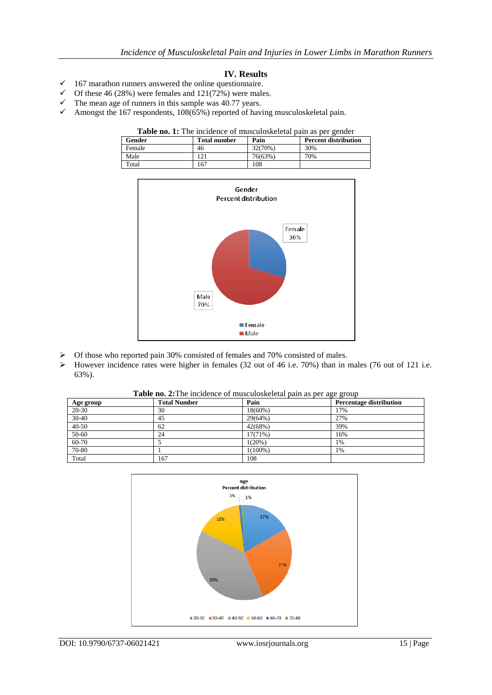## **IV. Results**

- $\checkmark$  167 marathon runners answered the online questionnaire.
- $\checkmark$  Of these 46 (28%) were females and 121(72%) were males.
- $\checkmark$  The mean age of runners in this sample was 40.77 years.
- $\checkmark$  Amongst the 167 respondents, 108(65%) reported of having musculoskeletal pain.

#### Table no. 1: The incidence of musculoskeletal pain as per gender

| Gender | <b>Total number</b> | Pain    | <b>Percent distribution</b> |
|--------|---------------------|---------|-----------------------------|
| Female | 46                  | 32(70%) | 30%                         |
| Male   | 21                  | 76(63%) | 70%                         |
| Total  | 67ء                 | 108     |                             |



- Of those who reported pain 30% consisted of females and 70% consisted of males.
- However incidence rates were higher in females (32 out of 46 i.e. 70%) than in males (76 out of 121 i.e. 63%).

**Table no. 2:**The incidence of musculoskeletal pain as per age group

| Age group | <b>Total Number</b> | Pain       | ັັ<br><b>Percentage distribution</b> |
|-----------|---------------------|------------|--------------------------------------|
| $20 - 30$ | 30                  | $18(60\%)$ | 17%                                  |
| 30-40     | 45                  | 29(64%)    | 27%                                  |
| $40 - 50$ | 62                  | 42(68%)    | 39%                                  |
| 50-60     | 24                  | $17(71\%)$ | 16%                                  |
| 60-70     |                     | 1(20%)     | 1%                                   |
| 70-80     |                     | $1(100\%)$ | 1%                                   |
| Total     | 167                 | 108        |                                      |

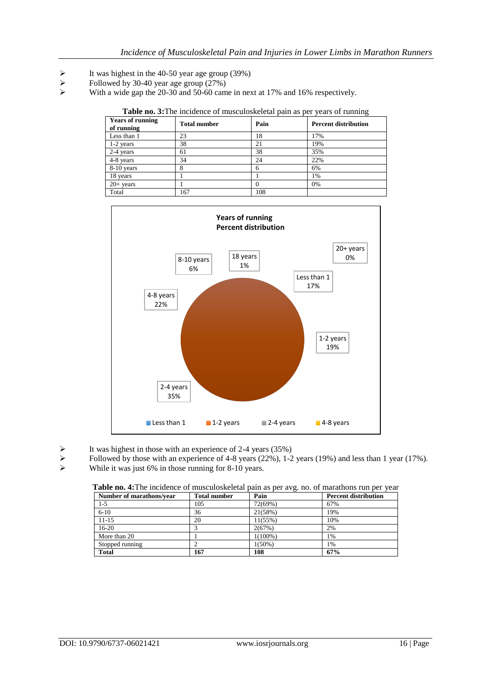- It was highest in the 40-50 year age group (39%)<br>
Followed by 30-40 year age group (27%)
- $\triangleright$  Followed by 30-40 year age group (27%)<br> $\triangleright$  With a wide gap the 20-30 and 50-60 can
- With a wide gap the 20-30 and 50-60 came in next at 17% and 16% respectively.

|                                                                                                    |  |  | Table no. 3: The incidence of musculoskeletal pain as per years of running |  |
|----------------------------------------------------------------------------------------------------|--|--|----------------------------------------------------------------------------|--|
| $\mathbf{r} = \mathbf{r} \cdot \mathbf{r}$ . The set of $\mathbf{r} = \mathbf{r} \cdot \mathbf{r}$ |  |  |                                                                            |  |

| <b>Years of running</b><br>of running | <b>Total number</b> | Pain | <b>Percent distribution</b> |
|---------------------------------------|---------------------|------|-----------------------------|
| Less than 1                           | 23                  | 18   | 17%                         |
| $1-2$ years                           | 38                  | 21   | 19%                         |
| 2-4 years                             | 61                  | 38   | 35%                         |
| 4-8 years                             | 34                  | 24   | 22%                         |
| 8-10 years                            | 8                   |      | 6%                          |
| 18 years                              |                     |      | 1%                          |
| $20+$ years                           |                     | 0    | 0%                          |
| Total                                 | 167                 | 108  |                             |



It was highest in those with an experience of 2-4 years (35%)<br>
Followed by those with an experience of 4-8 years (22%), 1-2

- Followed by those with an experience of 4-8 years (22%), 1-2 years (19%) and less than 1 year (17%).<br>While it was just 6% in those running for 8-10 years.
- While it was just 6% in those running for 8-10 years.

| Number of marathons/year | <b>Total number</b> | Pain       | <b>Percent distribution</b> |
|--------------------------|---------------------|------------|-----------------------------|
| $1-5$                    | 105                 | 72(69%)    | 67%                         |
| $6-10$                   | 36                  | 21(58%)    | 19%                         |
| $11-15$                  | 20                  | 11(55%)    | 10%                         |
| $16-20$                  |                     | 2(67%)     | 2%                          |
| More than 20             |                     | $1(100\%)$ | 1%                          |
| Stopped running          |                     | $1(50\%)$  | 1%                          |
| <b>Total</b>             | 167                 | 108        | 67%                         |

**Table no. 4:**The incidence of musculoskeletal pain as per avg. no. of marathons run per year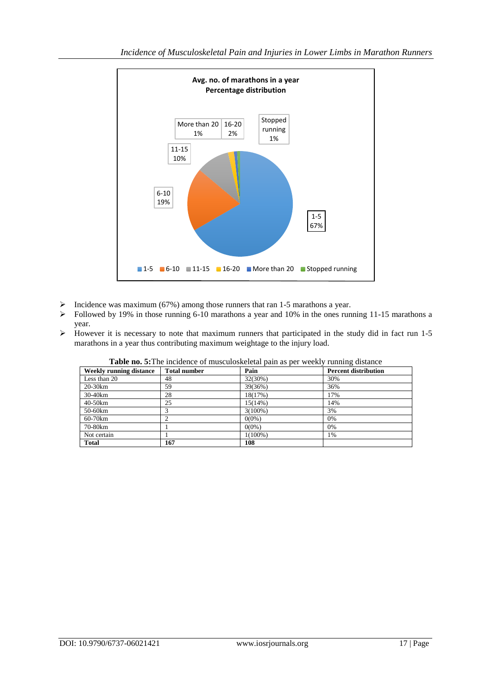

- $\triangleright$  Incidence was maximum (67%) among those runners that ran 1-5 marathons a year.
- $\triangleright$  Followed by 19% in those running 6-10 marathons a year and 10% in the ones running 11-15 marathons a year.
- $\triangleright$  However it is necessary to note that maximum runners that participated in the study did in fact run 1-5 marathons in a year thus contributing maximum weightage to the injury load.

| Weekly running distance | <b>Total number</b> | <b>Table holds</b> including of indicational pain as per weekly funning distance<br>Pain | <b>Percent distribution</b> |
|-------------------------|---------------------|------------------------------------------------------------------------------------------|-----------------------------|
| Less than 20            | 48                  | 32(30%)                                                                                  | 30%                         |
| 20-30km                 | 59                  | 39(36%)                                                                                  | 36%                         |
| 30-40km                 | 28                  | 18(17%)                                                                                  | 17%                         |
| 40-50km                 | 25                  | 15(14%)                                                                                  | 14%                         |
| 50-60km                 |                     | $3(100\%)$                                                                               | 3%                          |
| 60-70km                 |                     | $0(0\%)$                                                                                 | 0%                          |
| 70-80km                 |                     | $0(0\%)$                                                                                 | 0%                          |
| Not certain             |                     | $1(100\%)$                                                                               | 1%                          |
| <b>Total</b>            | 167                 | 108                                                                                      |                             |

**Table no. 5:**The incidence of musculoskeletal pain as per weekly running distance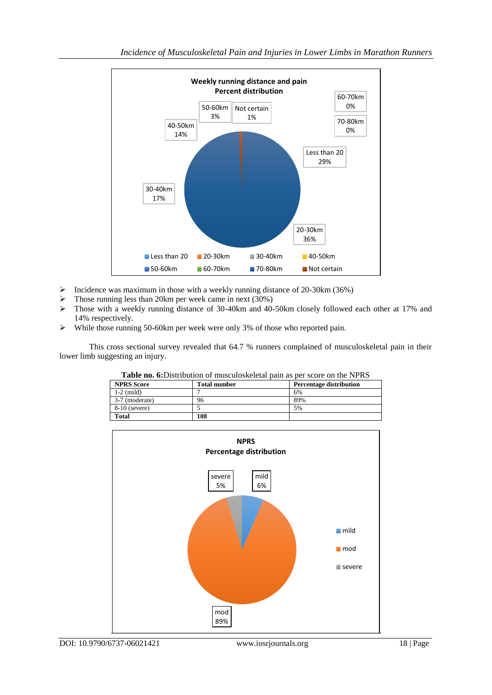

- $\triangleright$  Incidence was maximum in those with a weekly running distance of 20-30km (36%)
- $\triangleright$  Those running less than 20km per week came in next (30%)
- $\triangleright$  Those with a weekly running distance of 30-40km and 40-50km closely followed each other at 17% and 14% respectively.
- While those running 50-60km per week were only 3% of those who reported pain.

This cross sectional survey revealed that 64.7 % runners complained of musculoskeletal pain in their lower limb suggesting an injury.

| <b>Table no. 6:</b> Distribution of musculoskeletal pain as per score on the NPRS |                     |                                |  |  |
|-----------------------------------------------------------------------------------|---------------------|--------------------------------|--|--|
| <b>NPRS</b> Score                                                                 | <b>Total number</b> | <b>Percentage distribution</b> |  |  |
| $1-2$ (mild)                                                                      |                     | 6%                             |  |  |
| 3-7 (moderate)                                                                    | 96                  | 89%                            |  |  |
| $8-10$ (severe)                                                                   |                     | 5%                             |  |  |
| <b>Total</b>                                                                      | 108                 |                                |  |  |

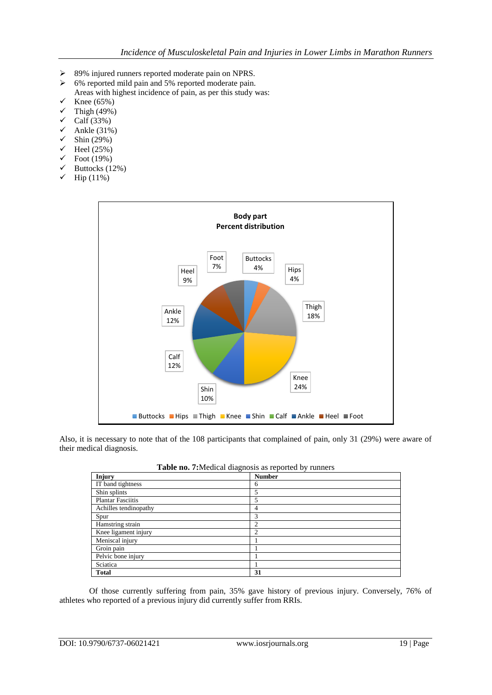- 89% injured runners reported moderate pain on NPRS.
- $\geq$  6% reported mild pain and 5% reported moderate pain. Areas with highest incidence of pain, as per this study was:
- $\checkmark$  Knee (65%)
- $\checkmark$  Thigh (49%)
- $\checkmark$  Calf (33%)
- $\checkmark$  Ankle (31%)
- $\checkmark$  Shin (29%)
- $\checkmark$  Heel (25%)
- $\checkmark$  Foot (19%)
- $\checkmark$  Buttocks (12%)
- $\checkmark$  Hip (11%)



Also, it is necessary to note that of the 108 participants that complained of pain, only 31 (29%) were aware of their medical diagnosis.

| <b>THOME HOW I GIVE CHANGHODID WO TUPOTION OF TWINDID</b> |                |  |  |
|-----------------------------------------------------------|----------------|--|--|
| Injury                                                    | <b>Number</b>  |  |  |
| IT band tightness                                         | 6              |  |  |
| Shin splints                                              | 5              |  |  |
| <b>Plantar Fasciitis</b>                                  | 5              |  |  |
| Achilles tendinopathy                                     | 4              |  |  |
| Spur                                                      | 3              |  |  |
| Hamstring strain                                          | $\overline{c}$ |  |  |
| Knee ligament injury                                      | 2              |  |  |
| Meniscal injury                                           |                |  |  |
| Groin pain                                                |                |  |  |
| Pelvic bone injury                                        |                |  |  |
| Sciatica                                                  |                |  |  |
| <b>Total</b>                                              | 31             |  |  |
|                                                           |                |  |  |

**Table no. 7:**Medical diagnosis as reported by runners

Of those currently suffering from pain, 35% gave history of previous injury. Conversely, 76% of athletes who reported of a previous injury did currently suffer from RRIs.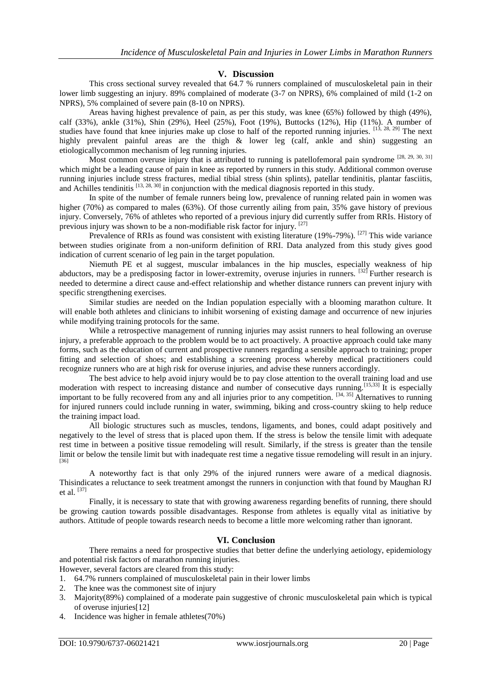#### **V. Discussion**

This cross sectional survey revealed that 64.7 % runners complained of musculoskeletal pain in their lower limb suggesting an injury. 89% complained of moderate (3-7 on NPRS), 6% complained of mild (1-2 on NPRS), 5% complained of severe pain (8-10 on NPRS).

Areas having highest prevalence of pain, as per this study, was knee (65%) followed by thigh (49%), calf (33%), ankle (31%), Shin (29%), Heel (25%), Foot (19%), Buttocks (12%), Hip (11%). A number of studies have found that knee injuries make up close to half of the reported running injuries. [13, 28, 29] The next highly prevalent painful areas are the thigh & lower leg (calf, ankle and shin) suggesting an etiologicallycommon mechanism of leg running injuries.

Most common overuse injury that is attributed to running is patellofemoral pain syndrome  $[28, 29, 30, 31]$ which might be a leading cause of pain in knee as reported by runners in this study. Additional common overuse running injuries include stress fractures, medial tibial stress (shin splints), patellar tendinitis, plantar fasciitis, and Achilles tendinitis [13, 28, 30] in conjunction with the medical diagnosis reported in this study.

In spite of the number of female runners being low, prevalence of running related pain in women was higher (70%) as compared to males (63%). Of those currently ailing from pain, 35% gave history of previous injury. Conversely, 76% of athletes who reported of a previous injury did currently suffer from RRIs. History of previous injury was shown to be a non-modifiable risk factor for injury. [27]

Prevalence of RRIs as found was consistent with existing literature (19%-79%). <sup>[27]</sup> This wide variance between studies originate from a non-uniform definition of RRI. Data analyzed from this study gives good indication of current scenario of leg pain in the target population.

Niemuth PE et al suggest, muscular imbalances in the hip muscles, especially weakness of hip abductors, may be a predisposing factor in lower-extremity, overuse injuries in runners. [32] Further research is needed to determine a direct cause and-effect relationship and whether distance runners can prevent injury with specific strengthening exercises.

Similar studies are needed on the Indian population especially with a blooming marathon culture. It will enable both athletes and clinicians to inhibit worsening of existing damage and occurrence of new injuries while modifying training protocols for the same.

While a retrospective management of running injuries may assist runners to heal following an overuse injury, a preferable approach to the problem would be to act proactively. A proactive approach could take many forms, such as the education of current and prospective runners regarding a sensible approach to training; proper fitting and selection of shoes; and establishing a screening process whereby medical practitioners could recognize runners who are at high risk for overuse injuries, and advise these runners accordingly.

The best advice to help avoid injury would be to pay close attention to the overall training load and use moderation with respect to increasing distance and number of consecutive days running.<sup>[15,33]</sup> It is especially important to be fully recovered from any and all injuries prior to any competition. <sup>[34, 35]</sup> Alternatives to running for injured runners could include running in water, swimming, biking and cross-country skiing to help reduce the training impact load.

All biologic structures such as muscles, tendons, ligaments, and bones, could adapt positively and negatively to the level of stress that is placed upon them. If the stress is below the tensile limit with adequate rest time in between a positive tissue remodeling will result. Similarly, if the stress is greater than the tensile limit or below the tensile limit but with inadequate rest time a negative tissue remodeling will result in an injury. [36]

A noteworthy fact is that only 29% of the injured runners were aware of a medical diagnosis. Thisindicates a reluctance to seek treatment amongst the runners in conjunction with that found by Maughan RJ et al. [37]

Finally, it is necessary to state that with growing awareness regarding benefits of running, there should be growing caution towards possible disadvantages. Response from athletes is equally vital as initiative by authors. Attitude of people towards research needs to become a little more welcoming rather than ignorant.

### **VI. Conclusion**

There remains a need for prospective studies that better define the underlying aetiology, epidemiology and potential risk factors of marathon running injuries.

However, several factors are cleared from this study:

- 1. 64.7% runners complained of musculoskeletal pain in their lower limbs
- 2. The knee was the commonest site of injury
- 3. Majority(89%) complained of a moderate pain suggestive of chronic musculoskeletal pain which is typical of overuse injuries[12]
- 4. Incidence was higher in female athletes(70%)